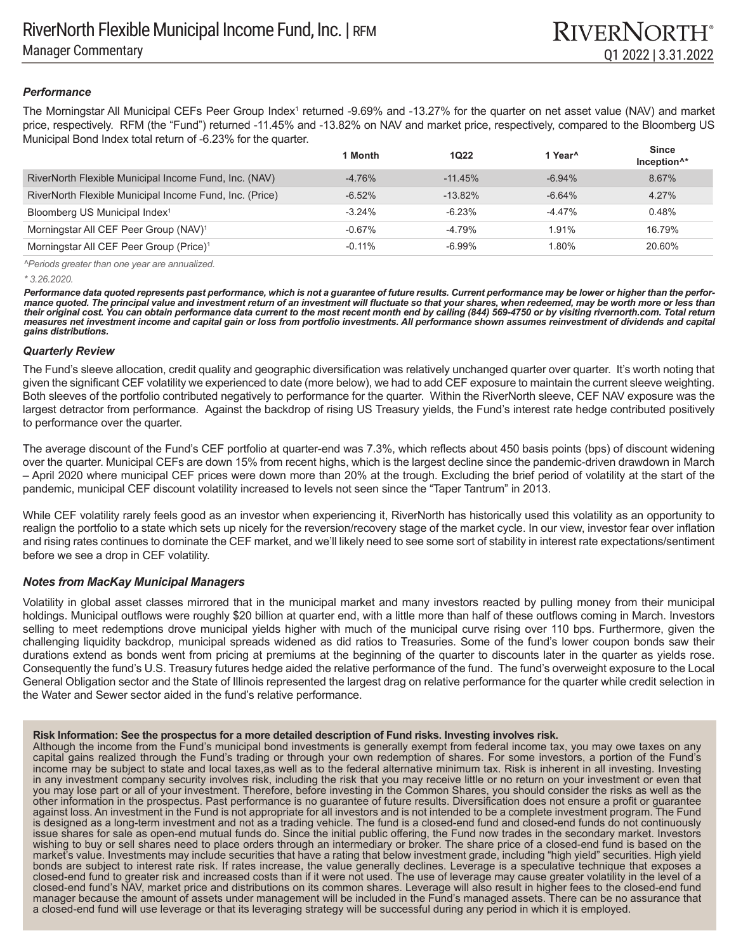# *Performance*

The Morningstar All Municipal CEFs Peer Group Index<sup>1</sup> returned -9.69% and -13.27% for the quarter on net asset value (NAV) and market price, respectively. RFM (the "Fund") returned -11.45% and -13.82% on NAV and market price, respectively, compared to the Bloomberg US Municipal Bond Index total return of -6.23% for the quarter.

|                                                         | 1 Month   | 1022       | 1 Year <sup>^</sup> | <b>Since</b><br>Inception <sup>^*</sup> |
|---------------------------------------------------------|-----------|------------|---------------------|-----------------------------------------|
| RiverNorth Flexible Municipal Income Fund, Inc. (NAV)   | $-4.76%$  | $-11.45%$  | $-6.94%$            | 8.67%                                   |
| RiverNorth Flexible Municipal Income Fund, Inc. (Price) | $-6.52%$  | $-13.82\%$ | $-6.64%$            | 4.27%                                   |
| Bloomberg US Municipal Index <sup>1</sup>               | $-3.24%$  | $-6.23%$   | $-4.47%$            | 0.48%                                   |
| Morningstar All CEF Peer Group (NAV) <sup>1</sup>       | $-0.67\%$ | -4.79%     | 1.91%               | 16.79%                                  |
| Morningstar All CEF Peer Group (Price) <sup>1</sup>     | $-0.11%$  | $-6.99\%$  | 1.80%               | 20.60%                                  |

*^Periods greater than one year are annualized.*

*\* 3.26.2020.* 

*Performance data quoted represents past performance, which is not a guarantee of future results. Current performance may be lower or higher than the performance quoted. The principal value and investment return of an investment will fluctuate so that your shares, when redeemed, may be worth more or less than their original cost. You can obtain performance data current to the most recent month end by calling (844) 569-4750 or by visiting rivernorth.com. Total return measures net investment income and capital gain or loss from portfolio investments. All performance shown assumes reinvestment of dividends and capital gains distributions.*

### *Quarterly Review*

The Fund's sleeve allocation, credit quality and geographic diversification was relatively unchanged quarter over quarter. It's worth noting that given the significant CEF volatility we experienced to date (more below), we had to add CEF exposure to maintain the current sleeve weighting. Both sleeves of the portfolio contributed negatively to performance for the quarter. Within the RiverNorth sleeve, CEF NAV exposure was the largest detractor from performance. Against the backdrop of rising US Treasury yields, the Fund's interest rate hedge contributed positively to performance over the quarter.

The average discount of the Fund's CEF portfolio at quarter-end was 7.3%, which reflects about 450 basis points (bps) of discount widening over the quarter. Municipal CEFs are down 15% from recent highs, which is the largest decline since the pandemic-driven drawdown in March – April 2020 where municipal CEF prices were down more than 20% at the trough. Excluding the brief period of volatility at the start of the pandemic, municipal CEF discount volatility increased to levels not seen since the "Taper Tantrum" in 2013.

While CEF volatility rarely feels good as an investor when experiencing it, RiverNorth has historically used this volatility as an opportunity to realign the portfolio to a state which sets up nicely for the reversion/recovery stage of the market cycle. In our view, investor fear over inflation and rising rates continues to dominate the CEF market, and we'll likely need to see some sort of stability in interest rate expectations/sentiment before we see a drop in CEF volatility.

# *Notes from MacKay Municipal Managers*

Volatility in global asset classes mirrored that in the municipal market and many investors reacted by pulling money from their municipal holdings. Municipal outflows were roughly \$20 billion at quarter end, with a little more than half of these outflows coming in March. Investors selling to meet redemptions drove municipal yields higher with much of the municipal curve rising over 110 bps. Furthermore, given the challenging liquidity backdrop, municipal spreads widened as did ratios to Treasuries. Some of the fund's lower coupon bonds saw their durations extend as bonds went from pricing at premiums at the beginning of the quarter to discounts later in the quarter as yields rose. Consequently the fund's U.S. Treasury futures hedge aided the relative performance of the fund. The fund's overweight exposure to the Local General Obligation sector and the State of Illinois represented the largest drag on relative performance for the quarter while credit selection in the Water and Sewer sector aided in the fund's relative performance.

### **Risk Information: See the prospectus for a more detailed description of Fund risks. Investing involves risk.**

Although the income from the Fund's municipal bond investments is generally exempt from federal income tax, you may owe taxes on any capital gains realized through the Fund's trading or through your own redemption of shares. For some investors, a portion of the Fund's income may be subject to state and local taxes,as well as to the federal alternative minimum tax. Risk is inherent in all investing. Investing in any investment company security involves risk, including the risk that you may receive little or no return on your investment or even that you may lose part or all of your investment. Therefore, before investing in the Common Shares, you should consider the risks as well as the other information in the prospectus. Past performance is no guarantee of future results. Diversification does not ensure a profit or guarantee against loss. An investment in the Fund is not appropriate for all investors and is not intended to be a complete investment program. The Fund is designed as a long-term investment and not as a trading vehicle. The fund is a closed-end fund and closed-end funds do not continuously issue shares for sale as open-end mutual funds do. Since the initial public offering, the Fund now trades in the secondary market. Investors wishing to buy or sell shares need to place orders through an intermediary or broker. The share price of a closed-end fund is based on the market's value. Investments may include securities that have a rating that below investment grade, including "high yield" securities. High yield bonds are subject to interest rate risk. If rates increase, the value generally declines. Leverage is a speculative technique that exposes a closed-end fund to greater risk and increased costs than if it were not used. The use of leverage may cause greater volatility in the level of a closed-end fund's NAV, market price and distributions on its common shares. Leverage will also result in higher fees to the closed-end fund manager because the amount of assets under management will be included in the Fund's managed assets. There can be no assurance that a closed-end fund will use leverage or that its leveraging strategy will be successful during any period in which it is employed.